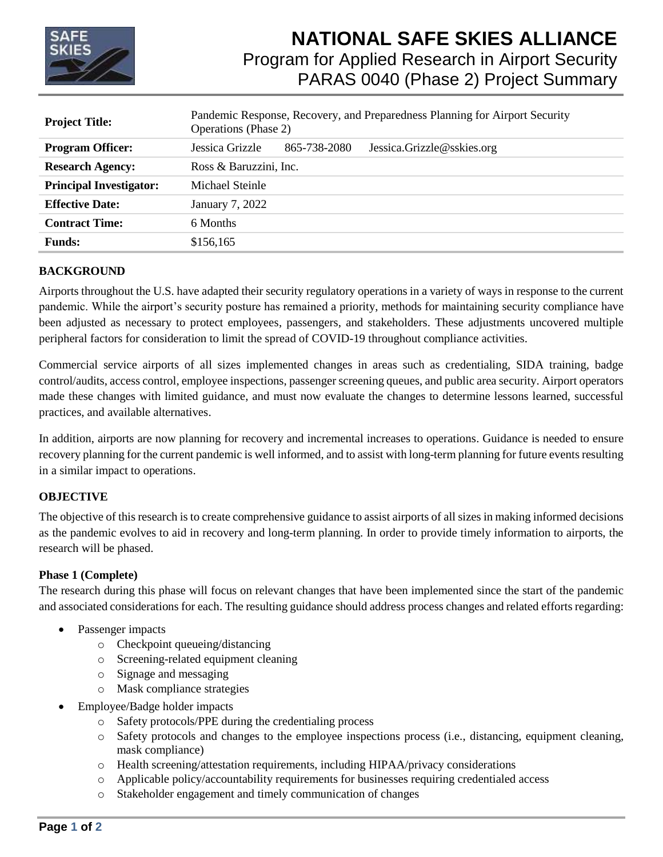

# **NATIONAL SAFE SKIES ALLIANCE** Program for Applied Research in Airport Security PARAS 0040 (Phase 2) Project Summary

| <b>Project Title:</b>          | Pandemic Response, Recovery, and Preparedness Planning for Airport Security<br><b>Operations</b> (Phase 2) |              |                            |
|--------------------------------|------------------------------------------------------------------------------------------------------------|--------------|----------------------------|
| <b>Program Officer:</b>        | Jessica Grizzle                                                                                            | 865-738-2080 | Jessica.Grizzle@sskies.org |
| <b>Research Agency:</b>        | Ross & Baruzzini, Inc.                                                                                     |              |                            |
| <b>Principal Investigator:</b> | Michael Steinle                                                                                            |              |                            |
| <b>Effective Date:</b>         | January 7, 2022                                                                                            |              |                            |
| <b>Contract Time:</b>          | 6 Months                                                                                                   |              |                            |
| <b>Funds:</b>                  | \$156,165                                                                                                  |              |                            |

## **BACKGROUND**

Airports throughout the U.S. have adapted their security regulatory operations in a variety of ways in response to the current pandemic. While the airport's security posture has remained a priority, methods for maintaining security compliance have been adjusted as necessary to protect employees, passengers, and stakeholders. These adjustments uncovered multiple peripheral factors for consideration to limit the spread of COVID-19 throughout compliance activities.

Commercial service airports of all sizes implemented changes in areas such as credentialing, SIDA training, badge control/audits, access control, employee inspections, passenger screening queues, and public area security. Airport operators made these changes with limited guidance, and must now evaluate the changes to determine lessons learned, successful practices, and available alternatives.

In addition, airports are now planning for recovery and incremental increases to operations. Guidance is needed to ensure recovery planning for the current pandemic is well informed, and to assist with long-term planning for future events resulting in a similar impact to operations.

## **OBJECTIVE**

The objective of this research is to create comprehensive guidance to assist airports of all sizes in making informed decisions as the pandemic evolves to aid in recovery and long-term planning. In order to provide timely information to airports, the research will be phased.

## **Phase 1 (Complete)**

The research during this phase will focus on relevant changes that have been implemented since the start of the pandemic and associated considerations for each. The resulting guidance should address process changes and related efforts regarding:

- Passenger impacts
	- o Checkpoint queueing/distancing
	- o Screening-related equipment cleaning
	- o Signage and messaging
	- o Mask compliance strategies
	- Employee/Badge holder impacts
		- o Safety protocols/PPE during the credentialing process
		- o Safety protocols and changes to the employee inspections process (i.e., distancing, equipment cleaning, mask compliance)
		- o Health screening/attestation requirements, including HIPAA/privacy considerations
		- o Applicable policy/accountability requirements for businesses requiring credentialed access
		- o Stakeholder engagement and timely communication of changes